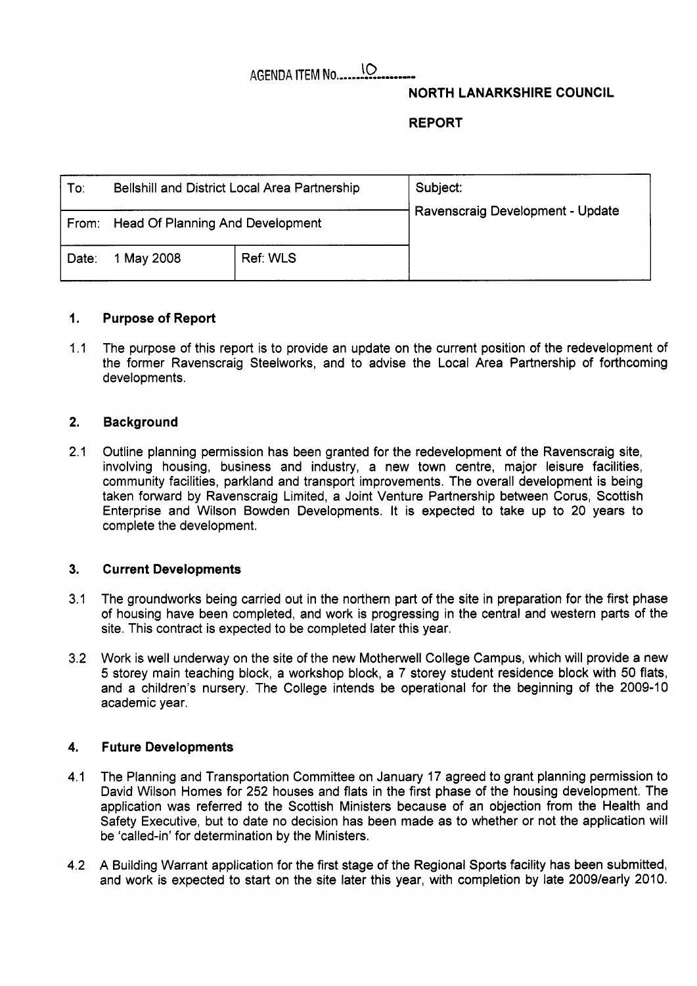# AGENDA ITEM **No** ......-...-.....-. **!O**

## **NORTH LANARKSHIRE COUNCIL**

**REPORT** 

| To:   | Bellshill and District Local Area Partnership |                 | Subject:                         |
|-------|-----------------------------------------------|-----------------|----------------------------------|
|       | From: Head Of Planning And Development        |                 | Ravenscraig Development - Update |
| Date: | 1 May 2008                                    | <b>Ref: WLS</b> |                                  |

### **1. Purpose of Report**

1.1 The purpose of this report is to provide an update on the current position of the redevelopment of the former Ravenscraig Steelworks, and to advise the Local Area Partnership of forthcoming developments.

### **2. Background**

2.1 Outline planning permission has been granted for the redevelopment of the Ravenscraig site, involving housing, business and industry, a new town centre, major leisure facilities, community facilities, parkland and transport improvements. The overall development is being taken forward by Ravenscraig Limited, a Joint Venture Partnership between Corus, Scottish Enterprise and Wilson Bowden Developments. It is expected to take up to 20 years to complete the development.

### **3. Current Developments**

- 3.1 The groundworks being carried out in the northern part of the site in preparation for the first phase of housing have been completed, and work is progressing in the central and western parts of the site. This contract is expected to be completed later this year.
- 3.2 Work is well underway on the site of the new Motherwell College Campus, which will provide a new *5* storey main teaching block, a workshop block, a 7 storey student residence block with 50 flats, and a children's nursery. The College intends be operational for the beginning of the 2009-10 academic year.

#### **4. Future Developments**

- 4.1 The Planning and Transportation Committee on January 17 agreed to grant planning permission to David Wilson Homes for 252 houses and flats in the first phase of the housing development. The application was referred to the Scottish Ministers because of an objection from the Health and Safety Executive, but to date no decision has been made as to whether or not the application will be 'called-in' for determination by the Ministers.
- 4.2 A Building Warrant application for the first stage of the Regional Sports facility has been submitted, and work is expected to start on the site later this year, with completion by late 2009/early 2010.